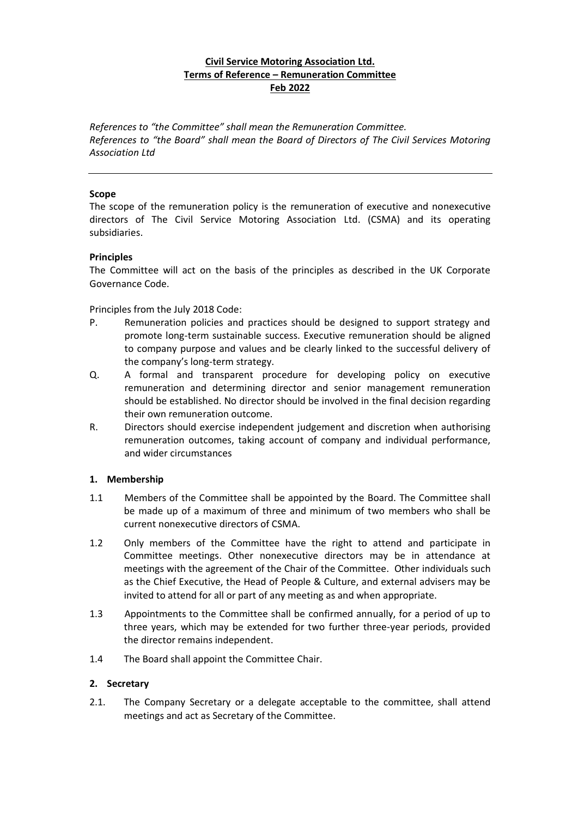# **Civil Service Motoring Association Ltd. Terms of Reference – Remuneration Committee Feb 2022**

*References to "the Committee" shall mean the Remuneration Committee. References to "the Board" shall mean the Board of Directors of The Civil Services Motoring Association Ltd*

#### **Scope**

The scope of the remuneration policy is the remuneration of executive and nonexecutive directors of The Civil Service Motoring Association Ltd. (CSMA) and its operating subsidiaries.

#### **Principles**

The Committee will act on the basis of the principles as described in the UK Corporate Governance Code.

Principles from the July 2018 Code:

- P. Remuneration policies and practices should be designed to support strategy and promote long-term sustainable success. Executive remuneration should be aligned to company purpose and values and be clearly linked to the successful delivery of the company's long-term strategy.
- Q. A formal and transparent procedure for developing policy on executive remuneration and determining director and senior management remuneration should be established. No director should be involved in the final decision regarding their own remuneration outcome.
- R. Directors should exercise independent judgement and discretion when authorising remuneration outcomes, taking account of company and individual performance, and wider circumstances

### **1. Membership**

- 1.1 Members of the Committee shall be appointed by the Board. The Committee shall be made up of a maximum of three and minimum of two members who shall be current nonexecutive directors of CSMA.
- 1.2 Only members of the Committee have the right to attend and participate in Committee meetings. Other nonexecutive directors may be in attendance at meetings with the agreement of the Chair of the Committee. Other individuals such as the Chief Executive, the Head of People & Culture, and external advisers may be invited to attend for all or part of any meeting as and when appropriate.
- 1.3 Appointments to the Committee shall be confirmed annually, for a period of up to three years, which may be extended for two further three-year periods, provided the director remains independent.
- 1.4 The Board shall appoint the Committee Chair.

### **2. Secretary**

2.1. The Company Secretary or a delegate acceptable to the committee, shall attend meetings and act as Secretary of the Committee.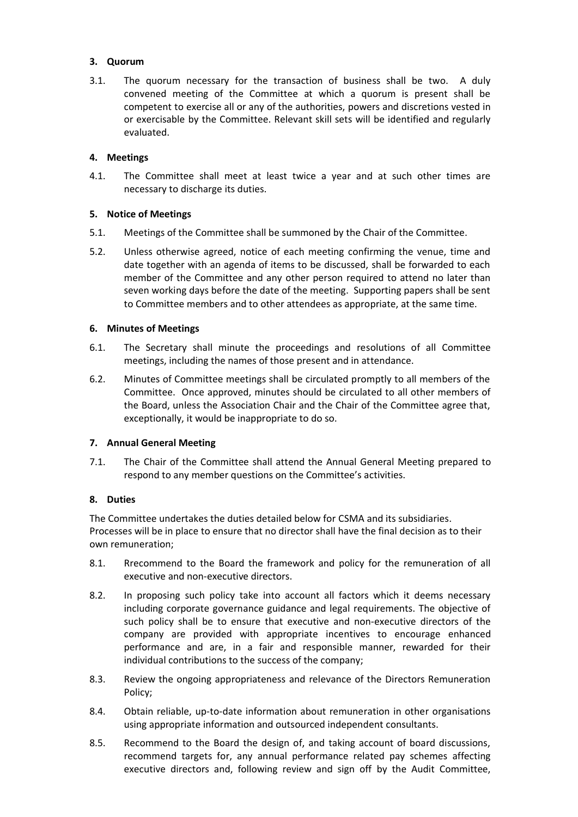## **3. Quorum**

3.1. The quorum necessary for the transaction of business shall be two. A duly convened meeting of the Committee at which a quorum is present shall be competent to exercise all or any of the authorities, powers and discretions vested in or exercisable by the Committee. Relevant skill sets will be identified and regularly evaluated.

## **4. Meetings**

4.1. The Committee shall meet at least twice a year and at such other times are necessary to discharge its duties.

## **5. Notice of Meetings**

- 5.1. Meetings of the Committee shall be summoned by the Chair of the Committee.
- 5.2. Unless otherwise agreed, notice of each meeting confirming the venue, time and date together with an agenda of items to be discussed, shall be forwarded to each member of the Committee and any other person required to attend no later than seven working days before the date of the meeting. Supporting papers shall be sent to Committee members and to other attendees as appropriate, at the same time.

## **6. Minutes of Meetings**

- 6.1. The Secretary shall minute the proceedings and resolutions of all Committee meetings, including the names of those present and in attendance.
- 6.2. Minutes of Committee meetings shall be circulated promptly to all members of the Committee. Once approved, minutes should be circulated to all other members of the Board, unless the Association Chair and the Chair of the Committee agree that, exceptionally, it would be inappropriate to do so.

### **7. Annual General Meeting**

7.1. The Chair of the Committee shall attend the Annual General Meeting prepared to respond to any member questions on the Committee's activities.

# **8. Duties**

The Committee undertakes the duties detailed below for CSMA and its subsidiaries. Processes will be in place to ensure that no director shall have the final decision as to their own remuneration;

- 8.1. Rrecommend to the Board the framework and policy for the remuneration of all executive and non-executive directors.
- 8.2. In proposing such policy take into account all factors which it deems necessary including corporate governance guidance and legal requirements. The objective of such policy shall be to ensure that executive and non-executive directors of the company are provided with appropriate incentives to encourage enhanced performance and are, in a fair and responsible manner, rewarded for their individual contributions to the success of the company;
- 8.3. Review the ongoing appropriateness and relevance of the Directors Remuneration Policy;
- 8.4. Obtain reliable, up-to-date information about remuneration in other organisations using appropriate information and outsourced independent consultants.
- 8.5. Recommend to the Board the design of, and taking account of board discussions, recommend targets for, any annual performance related pay schemes affecting executive directors and, following review and sign off by the Audit Committee,